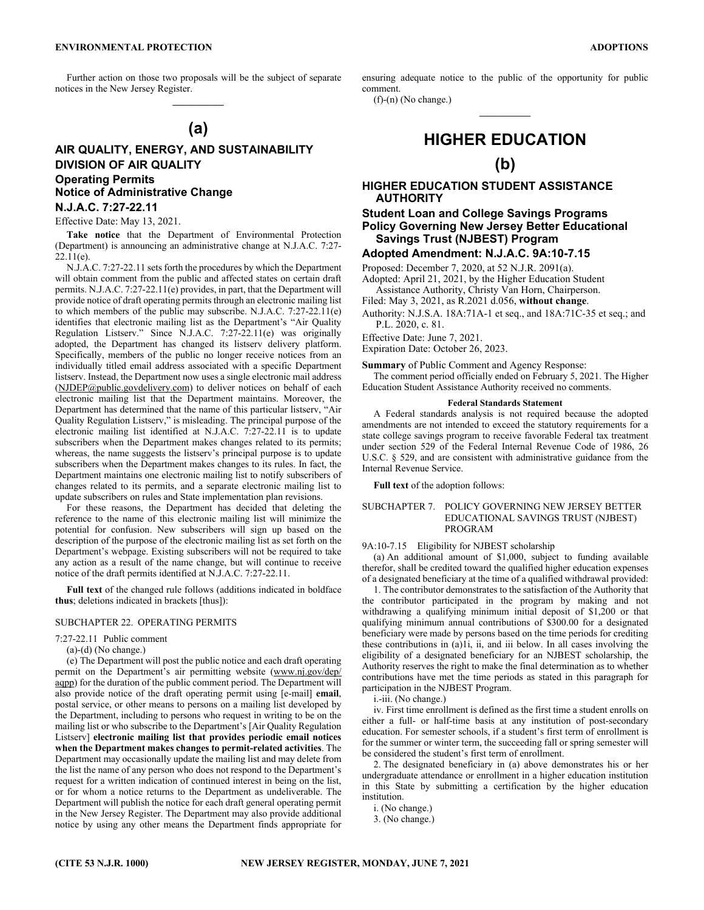Further action on those two proposals will be the subject of separate notices in the New Jersey Register.  $\mathcal{L}=\mathcal{L}$ 

# **(a)**

## **AIR QUALITY, ENERGY, AND SUSTAINABILITY DIVISION OF AIR QUALITY Operating Permits Notice of Administrative Change N.J.A.C. 7:27-22.11**

## Effective Date: May 13, 2021.

**Take notice** that the Department of Environmental Protection (Department) is announcing an administrative change at N.J.A.C. 7:27- 22.11(e).

N.J.A.C. 7:27-22.11 sets forth the procedures by which the Department will obtain comment from the public and affected states on certain draft permits. N.J.A.C. 7:27-22.11(e) provides, in part, that the Department will provide notice of draft operating permits through an electronic mailing list to which members of the public may subscribe. N.J.A.C. 7:27-22.11(e) identifies that electronic mailing list as the Department's "Air Quality Regulation Listserv." Since N.J.A.C. 7:27-22.11(e) was originally adopted, the Department has changed its listserv delivery platform. Specifically, members of the public no longer receive notices from an individually titled email address associated with a specific Department listserv. Instead, the Department now uses a single electronic mail address (NJDEP@public.govdelivery.com) to deliver notices on behalf of each electronic mailing list that the Department maintains. Moreover, the Department has determined that the name of this particular listserv, "Air Quality Regulation Listserv," is misleading. The principal purpose of the electronic mailing list identified at N.J.A.C. 7:27-22.11 is to update subscribers when the Department makes changes related to its permits; whereas, the name suggests the listserv's principal purpose is to update subscribers when the Department makes changes to its rules. In fact, the Department maintains one electronic mailing list to notify subscribers of changes related to its permits, and a separate electronic mailing list to update subscribers on rules and State implementation plan revisions.

For these reasons, the Department has decided that deleting the reference to the name of this electronic mailing list will minimize the potential for confusion. New subscribers will sign up based on the description of the purpose of the electronic mailing list as set forth on the Department's webpage. Existing subscribers will not be required to take any action as a result of the name change, but will continue to receive notice of the draft permits identified at N.J.A.C. 7:27-22.11.

**Full text** of the changed rule follows (additions indicated in boldface **thus**; deletions indicated in brackets [thus]):

### SUBCHAPTER 22. OPERATING PERMITS

#### 7:27-22.11 Public comment

(a)-(d) (No change.)

(e) The Department will post the public notice and each draft operating permit on the Department's air permitting website (www.nj.gov/dep/ aqpp) for the duration of the public comment period. The Department will also provide notice of the draft operating permit using [e-mail] **email**, postal service, or other means to persons on a mailing list developed by the Department, including to persons who request in writing to be on the mailing list or who subscribe to the Department's [Air Quality Regulation Listserv] **electronic mailing list that provides periodic email notices when the Department makes changes to permit-related activities**. The Department may occasionally update the mailing list and may delete from the list the name of any person who does not respond to the Department's request for a written indication of continued interest in being on the list, or for whom a notice returns to the Department as undeliverable. The Department will publish the notice for each draft general operating permit in the New Jersey Register. The Department may also provide additional notice by using any other means the Department finds appropriate for

ensuring adequate notice to the public of the opportunity for public comment.

 $\mathcal{L}=\mathcal{L}$ 

 $(f)-(n)$  (No change.)

# **HIGHER EDUCATION**

# **(b)**

## **HIGHER EDUCATION STUDENT ASSISTANCE AUTHORITY**

## **Student Loan and College Savings Programs Policy Governing New Jersey Better Educational Savings Trust (NJBEST) Program**

### **Adopted Amendment: N.J.A.C. 9A:10-7.15**

Proposed: December 7, 2020, at 52 N.J.R. 2091(a).

Adopted: April 21, 2021, by the Higher Education Student Assistance Authority, Christy Van Horn, Chairperson.

Filed: May 3, 2021, as R.2021 d.056, **without change**.

Authority: N.J.S.A. 18A:71A-1 et seq., and 18A:71C-35 et seq.; and P.L. 2020, c. 81.

Effective Date: June 7, 2021.

Expiration Date: October 26, 2023.

**Summary** of Public Comment and Agency Response:

The comment period officially ended on February 5, 2021. The Higher Education Student Assistance Authority received no comments.

#### **Federal Standards Statement**

A Federal standards analysis is not required because the adopted amendments are not intended to exceed the statutory requirements for a state college savings program to receive favorable Federal tax treatment under section 529 of the Federal Internal Revenue Code of 1986, 26 U.S.C. § 529, and are consistent with administrative guidance from the Internal Revenue Service.

**Full text** of the adoption follows:

### SUBCHAPTER 7. POLICY GOVERNING NEW JERSEY BETTER EDUCATIONAL SAVINGS TRUST (NJBEST) PROGRAM

#### 9A:10-7.15 Eligibility for NJBEST scholarship

(a) An additional amount of \$1,000, subject to funding available therefor, shall be credited toward the qualified higher education expenses of a designated beneficiary at the time of a qualified withdrawal provided:

1. The contributor demonstrates to the satisfaction of the Authority that the contributor participated in the program by making and not withdrawing a qualifying minimum initial deposit of \$1,200 or that qualifying minimum annual contributions of \$300.00 for a designated beneficiary were made by persons based on the time periods for crediting these contributions in (a)1i, ii, and iii below. In all cases involving the eligibility of a designated beneficiary for an NJBEST scholarship, the Authority reserves the right to make the final determination as to whether contributions have met the time periods as stated in this paragraph for participation in the NJBEST Program.

i.-iii. (No change.)

iv. First time enrollment is defined as the first time a student enrolls on either a full- or half-time basis at any institution of post-secondary education. For semester schools, if a student's first term of enrollment is for the summer or winter term, the succeeding fall or spring semester will be considered the student's first term of enrollment.

2. The designated beneficiary in (a) above demonstrates his or her undergraduate attendance or enrollment in a higher education institution in this State by submitting a certification by the higher education institution.

i. (No change.)

3. (No change.)